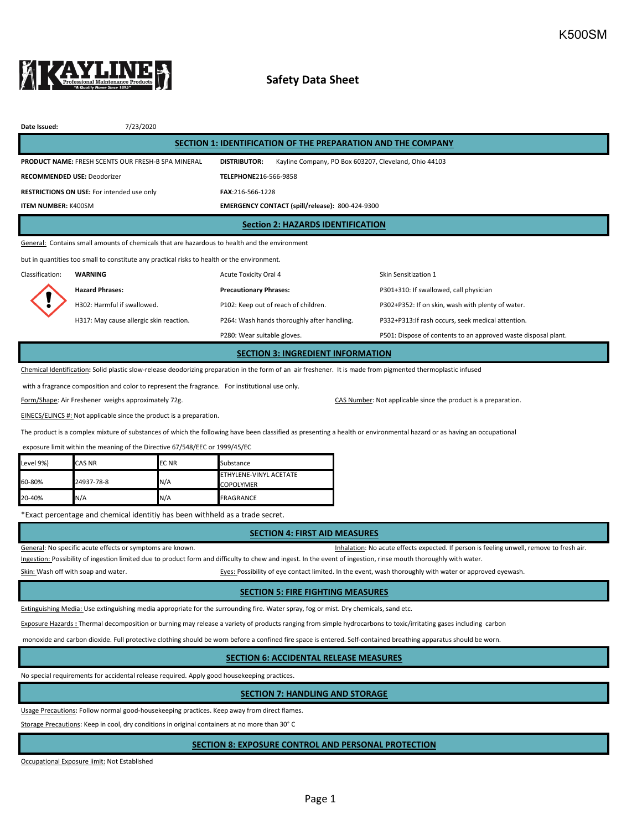

# **Safety Data Sheet**

| Date Issued:                                                                                  | 7/23/2020                                                 |                                                                              |                                                    |  |  |  |  |  |
|-----------------------------------------------------------------------------------------------|-----------------------------------------------------------|------------------------------------------------------------------------------|----------------------------------------------------|--|--|--|--|--|
| SECTION 1: IDENTIFICATION OF THE PREPARATION AND THE COMPANY                                  |                                                           |                                                                              |                                                    |  |  |  |  |  |
|                                                                                               | <b>PRODUCT NAME: FRESH SCENTS OUR FRESH-B SPA MINERAL</b> | Kayline Company, PO Box 603207, Cleveland, Ohio 44103<br><b>DISTRIBUTOR:</b> |                                                    |  |  |  |  |  |
| <b>RECOMMENDED USE: Deodorizer</b>                                                            |                                                           | TELEPHONE216-566-9858                                                        |                                                    |  |  |  |  |  |
| <b>RESTRICTIONS ON USE:</b> For intended use only                                             |                                                           | FAX:216-566-1228                                                             |                                                    |  |  |  |  |  |
| <b>ITEM NUMBER: K500SM</b>                                                                    |                                                           | EMERGENCY CONTACT (spill/release): 800-424-9300                              |                                                    |  |  |  |  |  |
| <b>Section 2: HAZARDS IDENTIFICATION</b>                                                      |                                                           |                                                                              |                                                    |  |  |  |  |  |
| General: Contains small amounts of chemicals that are hazardous to health and the environment |                                                           |                                                                              |                                                    |  |  |  |  |  |
| but in quantities too small to constitute any practical risks to health or the environment.   |                                                           |                                                                              |                                                    |  |  |  |  |  |
| Classification:                                                                               | WARNING                                                   | Acute Toxicity Oral 4                                                        | Skin Sensitization 1                               |  |  |  |  |  |
|                                                                                               | <b>Hazard Phrases:</b>                                    | <b>Precautionary Phrases:</b>                                                | P301+310: If swallowed, call physician             |  |  |  |  |  |
|                                                                                               | H302: Harmful if swallowed.                               | P102: Keep out of reach of children.                                         | P302+P352: If on skin, wash with plenty of water.  |  |  |  |  |  |
|                                                                                               | H317: May cause allergic skin reaction.                   | P264: Wash hands thoroughly after handling.                                  | P332+P313: If rash occurs, seek medical attention. |  |  |  |  |  |

P280: Wear suitable gloves. P501: Dispose of contents to an approved waste disposal plant.

#### **SECTION 3: INGREDIENT INFORMATION**

Chemical Identification**:** Solid plastic slow-release deodorizing preparation in the form of an air freshener. It is made from pigmented thermoplastic infused

with a fragrance composition and color to represent the fragrance. For institutional use only.

Form/Shape: Air Freshener weighs approximately 72g. CAS Number: Not applicable since the product is a preparation.

EINECS/ELINCS #: Not applicable since the product is a preparation.

The product is a complex mixture of substances of which the following have been classified as presenting a health or environmental hazard or as having an occupational

exposure limit within the meaning of the Directive 67/548/EEC or 1999/45/EC

| Level 9%) | <b>CAS NR</b> | <b>ECNR</b> | Substance                                  |
|-----------|---------------|-------------|--------------------------------------------|
| 60-80%    | 24937-78-8    | N/A         | ETHYLENE-VINYL ACETATE<br><b>COPOLYMER</b> |
| 20-40%    | N/A           | N/A         | FRAGRANCE                                  |

\*Exact percentage and chemical identitiy has been withheld as a trade secret.

#### **SECTION 4: FIRST AID MEASURES**

General: No specific acute effects or symptoms are known. That is a series of the state of the state of resh air.

Ingestion: Possibility of ingestion limited due to product form and difficulty to chew and ingest. In the event of ingestion, rinse mouth thoroughly with water.

Skin: Wash off with soap and water. The state of the state of eyes: Possibility of eye contact limited. In the event, wash thoroughly with water or approved eyewash.

### **SECTION 5: FIRE FIGHTING MEASURES**

Extinguishing Media: Use extinguishing media appropriate for the surrounding fire. Water spray, fog or mist. Dry chemicals, sand etc.

Exposure Hazards **:** Thermal decomposition or burning may release a variety of products ranging from simple hydrocarbons to toxic/irritating gases including carbon

monoxide and carbon dioxide. Full protective clothing should be worn before a confined fire space is entered. Self-contained breathing apparatus should be worn.

## **SECTION 6: ACCIDENTAL RELEASE MEASURES**

No special requirements for accidental release required. Apply good housekeeping practices.

## **SECTION 7: HANDLING AND STORAGE**

Usage Precautions: Follow normal good-housekeeping practices. Keep away from direct flames.

Storage Precautions: Keep in cool, dry conditions in original containers at no more than 30° C

### **SECTION 8: EXPOSURE CONTROL AND PERSONAL PROTECTION**

Occupational Exposure limit: Not Established